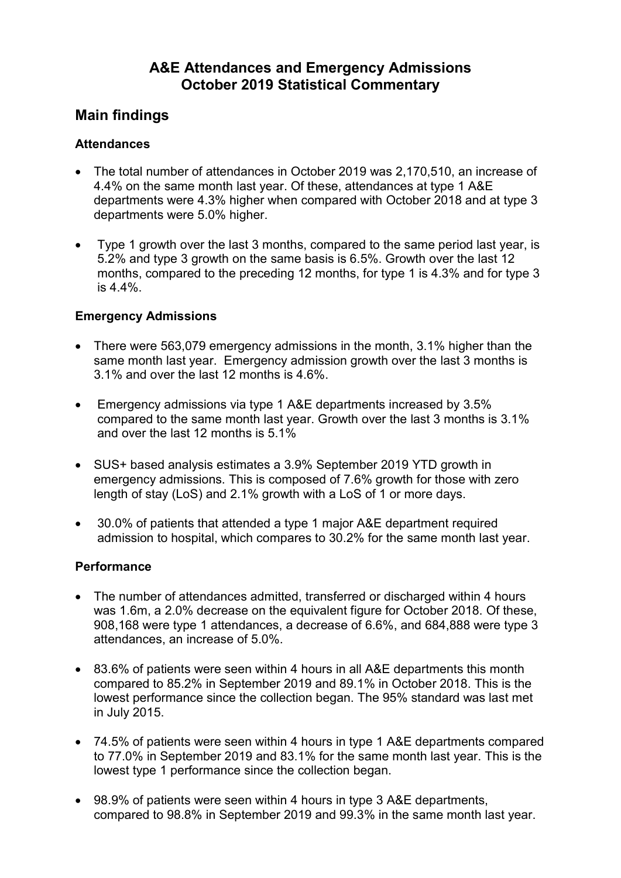# A&E Attendances and Emergency Admissions October 2019 Statistical Commentary

# Main findings

# **Attendances**

- The total number of attendances in October 2019 was 2,170,510, an increase of 4.4% on the same month last year. Of these, attendances at type 1 A&E departments were 4.3% higher when compared with October 2018 and at type 3 departments were 5.0% higher.
- Type 1 growth over the last 3 months, compared to the same period last year, is 5.2% and type 3 growth on the same basis is 6.5%. Growth over the last 12 months, compared to the preceding 12 months, for type 1 is 4.3% and for type 3 is 4.4%.

# Emergency Admissions

- There were 563,079 emergency admissions in the month, 3.1% higher than the same month last year. Emergency admission growth over the last 3 months is 3.1% and over the last 12 months is 4.6%.
- Emergency admissions via type 1 A&E departments increased by 3.5% compared to the same month last year. Growth over the last 3 months is 3.1% and over the last 12 months is 5.1%
- SUS+ based analysis estimates a 3.9% September 2019 YTD growth in emergency admissions. This is composed of 7.6% growth for those with zero length of stay (LoS) and 2.1% growth with a LoS of 1 or more days.
- 30.0% of patients that attended a type 1 major A&E department required admission to hospital, which compares to 30.2% for the same month last year.

# **Performance**

- The number of attendances admitted, transferred or discharged within 4 hours was 1.6m, a 2.0% decrease on the equivalent figure for October 2018. Of these, 908,168 were type 1 attendances, a decrease of 6.6%, and 684,888 were type 3 attendances, an increase of 5.0%.
- 83.6% of patients were seen within 4 hours in all A&E departments this month compared to 85.2% in September 2019 and 89.1% in October 2018. This is the lowest performance since the collection began. The 95% standard was last met in July 2015.
- 74.5% of patients were seen within 4 hours in type 1 A&E departments compared to 77.0% in September 2019 and 83.1% for the same month last year. This is the lowest type 1 performance since the collection began.
- 98.9% of patients were seen within 4 hours in type 3 A&E departments, compared to 98.8% in September 2019 and 99.3% in the same month last year.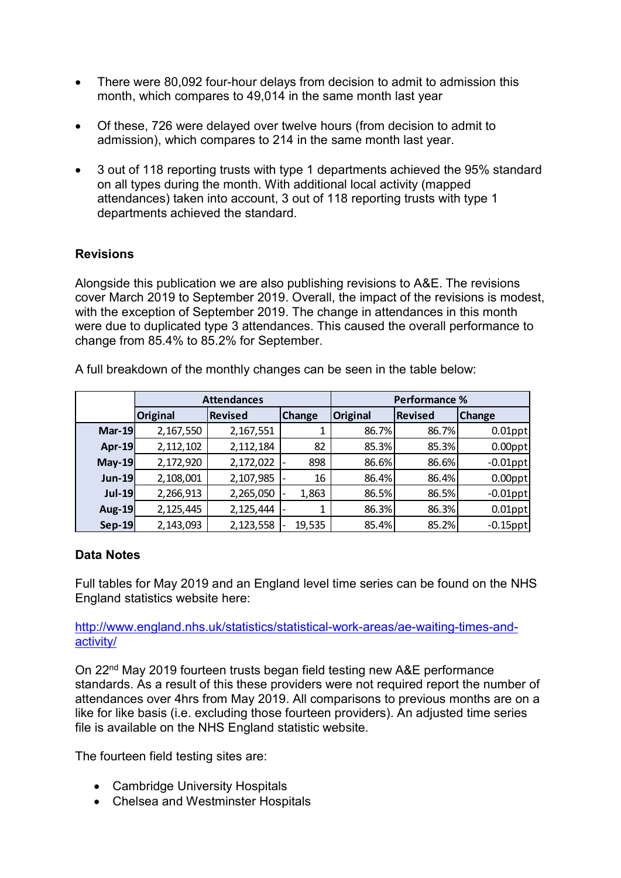- There were 80,092 four-hour delays from decision to admit to admission this month, which compares to 49,014 in the same month last year
- Of these, 726 were delayed over twelve hours (from decision to admit to admission), which compares to 214 in the same month last year.
- 3 out of 118 reporting trusts with type 1 departments achieved the 95% standard on all types during the month. With additional local activity (mapped attendances) taken into account, 3 out of 118 reporting trusts with type 1 departments achieved the standard.

# **Revisions**

| <b>Revisions</b><br>Alongside this publication we are also publishing revisions to A&E. The revisions |                                                                                                                                                                                                                                                                                                                                                                                   |                        |               |                |                      |                           |  |
|-------------------------------------------------------------------------------------------------------|-----------------------------------------------------------------------------------------------------------------------------------------------------------------------------------------------------------------------------------------------------------------------------------------------------------------------------------------------------------------------------------|------------------------|---------------|----------------|----------------------|---------------------------|--|
|                                                                                                       |                                                                                                                                                                                                                                                                                                                                                                                   |                        |               |                |                      |                           |  |
|                                                                                                       | cover March 2019 to September 2019. Overall, the impact of the revisions is modest,<br>with the exception of September 2019. The change in attendances in this month<br>were due to duplicated type 3 attendances. This caused the overall performance to<br>change from 85.4% to 85.2% for September.<br>A full breakdown of the monthly changes can be seen in the table below: |                        |               |                |                      |                           |  |
|                                                                                                       |                                                                                                                                                                                                                                                                                                                                                                                   | <b>Attendances</b>     |               |                | <b>Performance %</b> |                           |  |
|                                                                                                       | <b>Original</b>                                                                                                                                                                                                                                                                                                                                                                   | <b>Revised</b>         | <b>Change</b> | Original       | Revised              | <b>Change</b>             |  |
| $Mar-19$                                                                                              | 2,167,550                                                                                                                                                                                                                                                                                                                                                                         |                        |               |                |                      |                           |  |
|                                                                                                       |                                                                                                                                                                                                                                                                                                                                                                                   | 2,167,551              | 1             | 86.7%          | 86.7%                | $0.01$ ppt                |  |
| <b>Apr-19</b>                                                                                         | 2,112,102                                                                                                                                                                                                                                                                                                                                                                         | 2,112,184              | 82            | 85.3%          | 85.3%                | $0.00$ ppt                |  |
| $May-19$                                                                                              | 2,172,920                                                                                                                                                                                                                                                                                                                                                                         | 2,172,022              | 898           | 86.6%          | 86.6%                | $-0.01$ ppt               |  |
| <b>Jun-19</b>                                                                                         | 2,108,001                                                                                                                                                                                                                                                                                                                                                                         | 2,107,985              | 16            | 86.4%          | 86.4%                | $0.00$ ppt                |  |
| $Jul-19$                                                                                              | 2,266,913                                                                                                                                                                                                                                                                                                                                                                         | 2,265,050              | 1,863         | 86.5%          | 86.5%                | $-0.01$ ppt               |  |
| Aug-19<br><b>Sep-19</b>                                                                               | 2,125,445<br>2,143,093                                                                                                                                                                                                                                                                                                                                                            | 2,125,444<br>2,123,558 | 1<br>19,535   | 86.3%<br>85.4% | 86.3%<br>85.2%       | $0.01$ ppt<br>$-0.15$ ppt |  |

### Data Notes

http://www.england.nhs.uk/statistics/statistical-work-areas/ae-waiting-times-andactivity/

On 22nd May 2019 fourteen trusts began field testing new A&E performance standards. As a result of this these providers were not required report the number of attendances over 4hrs from May 2019. All comparisons to previous months are on a like for like basis (i.e. excluding those fourteen providers). An adjusted time series file is available on the NHS England statistic website.

The fourteen field testing sites are:

- Cambridge University Hospitals
- Chelsea and Westminster Hospitals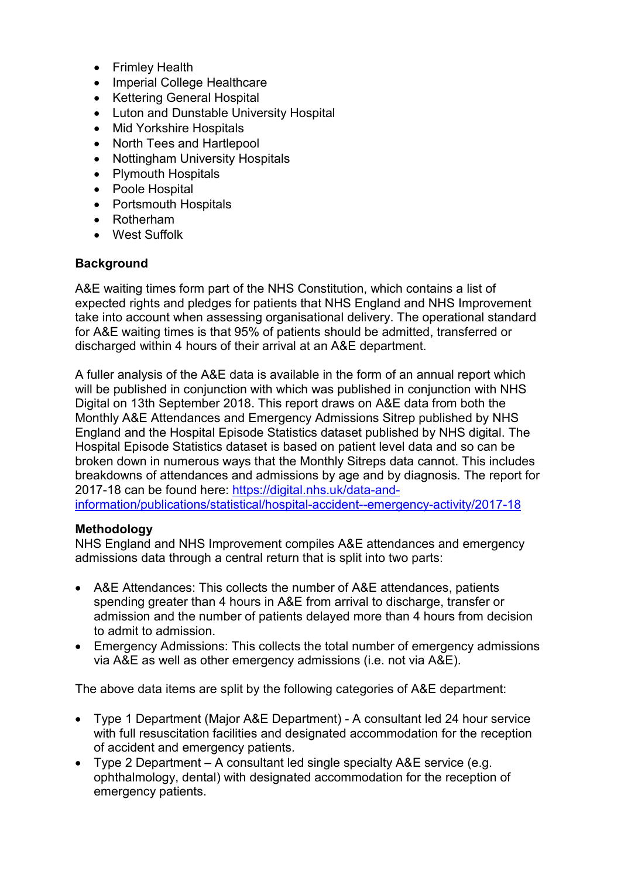- Frimley Health
- Imperial College Healthcare
- Kettering General Hospital
- Luton and Dunstable University Hospital
- Mid Yorkshire Hospitals
- North Tees and Hartlepool
- Nottingham University Hospitals
- Plymouth Hospitals
- Poole Hospital
- Portsmouth Hospitals
- Rotherham
- West Suffolk

### **Background**

A&E waiting times form part of the NHS Constitution, which contains a list of expected rights and pledges for patients that NHS England and NHS Improvement take into account when assessing organisational delivery. The operational standard for A&E waiting times is that 95% of patients should be admitted, transferred or discharged within 4 hours of their arrival at an A&E department.

A fuller analysis of the A&E data is available in the form of an annual report which will be published in conjunction with which was published in conjunction with NHS Digital on 13th September 2018. This report draws on A&E data from both the Monthly A&E Attendances and Emergency Admissions Sitrep published by NHS England and the Hospital Episode Statistics dataset published by NHS digital. The Hospital Episode Statistics dataset is based on patient level data and so can be broken down in numerous ways that the Monthly Sitreps data cannot. This includes breakdowns of attendances and admissions by age and by diagnosis. The report for 2017-18 can be found here: https://digital.nhs.uk/data-andinformation/publications/statistical/hospital-accident--emergency-activity/2017-18

### **Methodology**

NHS England and NHS Improvement compiles A&E attendances and emergency admissions data through a central return that is split into two parts:

- A&E Attendances: This collects the number of A&E attendances, patients spending greater than 4 hours in A&E from arrival to discharge, transfer or admission and the number of patients delayed more than 4 hours from decision to admit to admission.
- Emergency Admissions: This collects the total number of emergency admissions via A&E as well as other emergency admissions (i.e. not via A&E).

The above data items are split by the following categories of A&E department:

- Type 1 Department (Major A&E Department) A consultant led 24 hour service with full resuscitation facilities and designated accommodation for the reception of accident and emergency patients.
- Type 2 Department A consultant led single specialty A&E service (e.g. ophthalmology, dental) with designated accommodation for the reception of emergency patients.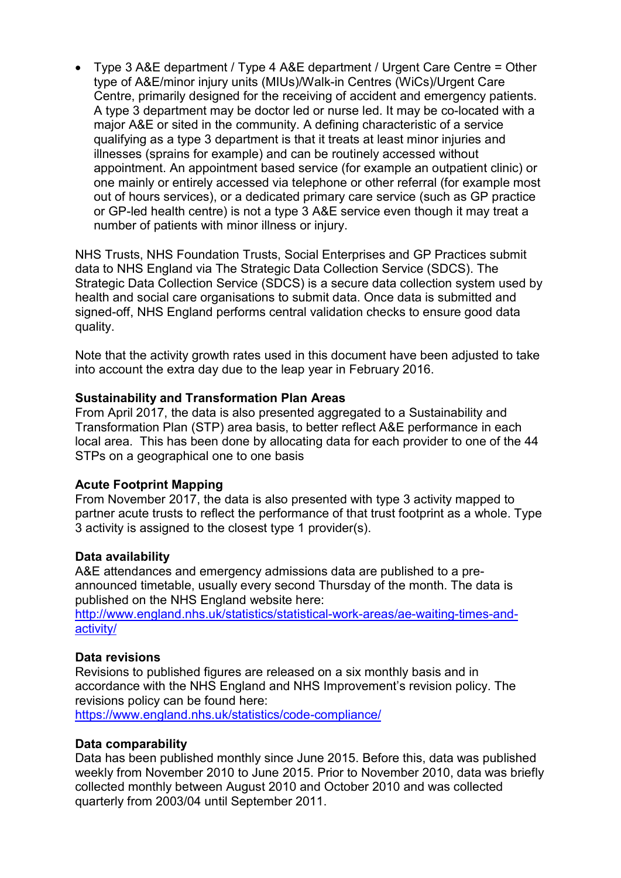Type 3 A&E department / Type 4 A&E department / Urgent Care Centre = Other type of A&E/minor injury units (MIUs)/Walk-in Centres (WiCs)/Urgent Care Centre, primarily designed for the receiving of accident and emergency patients. A type 3 department may be doctor led or nurse led. It may be co-located with a major A&E or sited in the community. A defining characteristic of a service qualifying as a type 3 department is that it treats at least minor injuries and illnesses (sprains for example) and can be routinely accessed without appointment. An appointment based service (for example an outpatient clinic) or one mainly or entirely accessed via telephone or other referral (for example most out of hours services), or a dedicated primary care service (such as GP practice or GP-led health centre) is not a type 3 A&E service even though it may treat a number of patients with minor illness or injury.

NHS Trusts, NHS Foundation Trusts, Social Enterprises and GP Practices submit data to NHS England via The Strategic Data Collection Service (SDCS). The Strategic Data Collection Service (SDCS) is a secure data collection system used by health and social care organisations to submit data. Once data is submitted and signed-off, NHS England performs central validation checks to ensure good data quality.

Note that the activity growth rates used in this document have been adjusted to take into account the extra day due to the leap year in February 2016.

### Sustainability and Transformation Plan Areas

From April 2017, the data is also presented aggregated to a Sustainability and Transformation Plan (STP) area basis, to better reflect A&E performance in each local area. This has been done by allocating data for each provider to one of the 44 STPs on a geographical one to one basis

#### Acute Footprint Mapping

From November 2017, the data is also presented with type 3 activity mapped to partner acute trusts to reflect the performance of that trust footprint as a whole. Type 3 activity is assigned to the closest type 1 provider(s).

#### Data availability

A&E attendances and emergency admissions data are published to a preannounced timetable, usually every second Thursday of the month. The data is published on the NHS England website here:

http://www.england.nhs.uk/statistics/statistical-work-areas/ae-waiting-times-andactivity/

#### Data revisions

Revisions to published figures are released on a six monthly basis and in accordance with the NHS England and NHS Improvement's revision policy. The revisions policy can be found here:

https://www.england.nhs.uk/statistics/code-compliance/

#### Data comparability

Data has been published monthly since June 2015. Before this, data was published weekly from November 2010 to June 2015. Prior to November 2010, data was briefly collected monthly between August 2010 and October 2010 and was collected quarterly from 2003/04 until September 2011.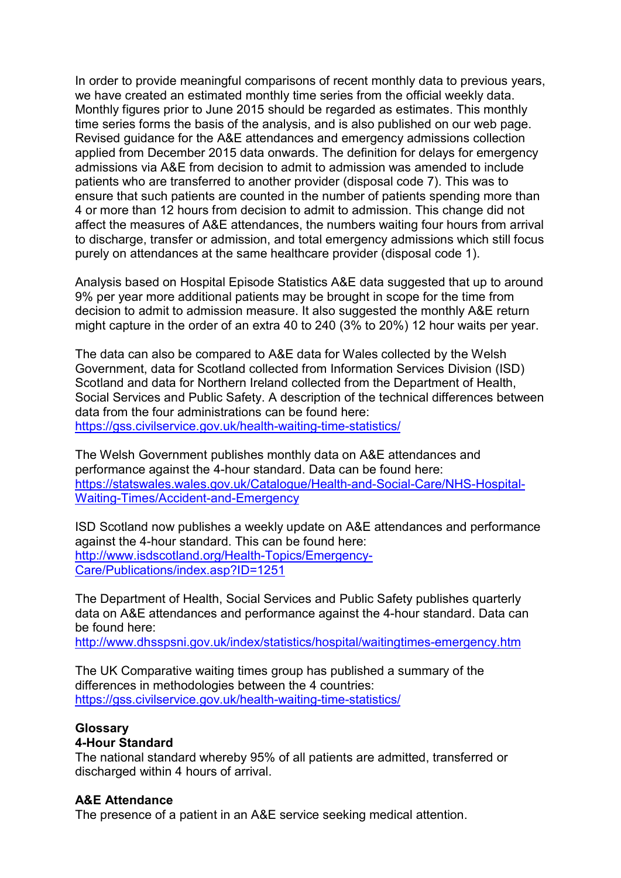In order to provide meaningful comparisons of recent monthly data to previous years, we have created an estimated monthly time series from the official weekly data. Monthly figures prior to June 2015 should be regarded as estimates. This monthly time series forms the basis of the analysis, and is also published on our web page. Revised guidance for the A&E attendances and emergency admissions collection applied from December 2015 data onwards. The definition for delays for emergency admissions via A&E from decision to admit to admission was amended to include patients who are transferred to another provider (disposal code 7). This was to ensure that such patients are counted in the number of patients spending more than 4 or more than 12 hours from decision to admit to admission. This change did not affect the measures of A&E attendances, the numbers waiting four hours from arrival to discharge, transfer or admission, and total emergency admissions which still focus purely on attendances at the same healthcare provider (disposal code 1).

Analysis based on Hospital Episode Statistics A&E data suggested that up to around 9% per year more additional patients may be brought in scope for the time from decision to admit to admission measure. It also suggested the monthly A&E return might capture in the order of an extra 40 to 240 (3% to 20%) 12 hour waits per year.

The data can also be compared to A&E data for Wales collected by the Welsh Government, data for Scotland collected from Information Services Division (ISD) Scotland and data for Northern Ireland collected from the Department of Health, Social Services and Public Safety. A description of the technical differences between data from the four administrations can be found here: https://gss.civilservice.gov.uk/health-waiting-time-statistics/

The Welsh Government publishes monthly data on A&E attendances and performance against the 4-hour standard. Data can be found here: https://statswales.wales.gov.uk/Catalogue/Health-and-Social-Care/NHS-Hospital-Waiting-Times/Accident-and-Emergency

ISD Scotland now publishes a weekly update on A&E attendances and performance against the 4-hour standard. This can be found here: http://www.isdscotland.org/Health-Topics/Emergency-Care/Publications/index.asp?ID=1251

The Department of Health, Social Services and Public Safety publishes quarterly data on A&E attendances and performance against the 4-hour standard. Data can be found here:

http://www.dhsspsni.gov.uk/index/statistics/hospital/waitingtimes-emergency.htm

The UK Comparative waiting times group has published a summary of the differences in methodologies between the 4 countries: https://gss.civilservice.gov.uk/health-waiting-time-statistics/

# **Glossary**

### 4-Hour Standard

The national standard whereby 95% of all patients are admitted, transferred or discharged within 4 hours of arrival.

# A&E Attendance

The presence of a patient in an A&E service seeking medical attention.